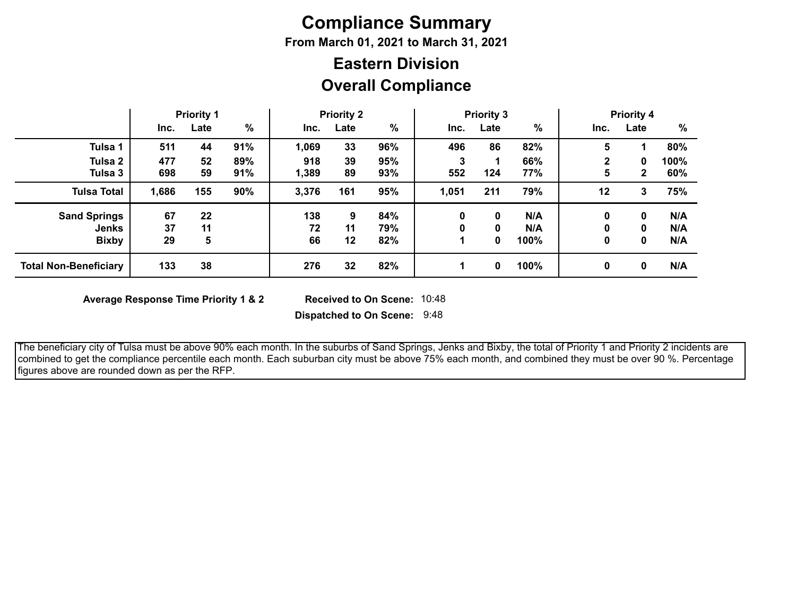# **Compliance Summary**

**From March 01, 2021 to March 31, 2021**

# **Overall Compliance Eastern Division**

|                              | <b>Priority 1</b> |      | <b>Priority 2</b> |       | <b>Priority 3</b> |     |       |      | <b>Priority 4</b> |             |              |      |
|------------------------------|-------------------|------|-------------------|-------|-------------------|-----|-------|------|-------------------|-------------|--------------|------|
|                              | Inc.              | Late | %                 | Inc.  | Late              | %   | Inc.  | Late | $\%$              | Inc.        | Late         | %    |
| Tulsa 1                      | 511               | 44   | 91%               | 1,069 | 33                | 96% | 496   | 86   | 82%               | 5           |              | 80%  |
| Tulsa 2                      | 477               | 52   | 89%               | 918   | 39                | 95% |       |      | 66%               | $\mathbf 2$ | 0            | 100% |
| Tulsa 3                      | 698               | 59   | 91%               | 1,389 | 89                | 93% | 552   | 124  | 77%               | 5           | $\mathbf{2}$ | 60%  |
| <b>Tulsa Total</b>           | 1,686             | 155  | 90%               | 3,376 | 161               | 95% | 1,051 | 211  | 79%               | 12          | 3            | 75%  |
| <b>Sand Springs</b>          | 67                | 22   |                   | 138   | 9                 | 84% | 0     | 0    | N/A               | 0           | 0            | N/A  |
| <b>Jenks</b>                 | 37                | 11   |                   | 72    | 11                | 79% |       | 0    | N/A               |             | 0            | N/A  |
| <b>Bixby</b>                 | 29                | 5    |                   | 66    | 12                | 82% |       | 0    | 100%              | 0           | 0            | N/A  |
| <b>Total Non-Beneficiary</b> | 133               | 38   |                   | 276   | 32                | 82% |       | 0    | 100%              | 0           | 0            | N/A  |

**Average Response Time Priority 1 & 2** 

**Dispatched to On Scene:** 9:48 Received to On Scene: 10:48

 The beneficiary city of Tulsa must be above 90% each month. In the suburbs of Sand Springs, Jenks and Bixby, the total of Priority 1 and Priority 2 incidents are combined to get the compliance percentile each month. Each suburban city must be above 75% each month, and combined they must be over 90 %. Percentage figures above are rounded down as per the RFP.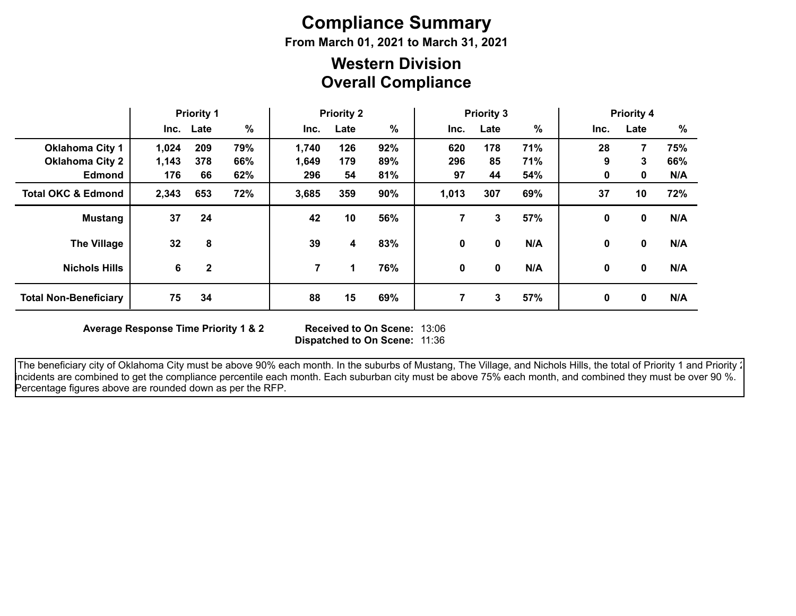# **Compliance Summary**

**From March 01, 2021 to March 31, 2021**

## **Overall Compliance Western Division**

|                               | <b>Priority 1</b> |              | <b>Priority 2</b> |       |      | <b>Priority 3</b> |       |      | <b>Priority 4</b> |              |              |     |
|-------------------------------|-------------------|--------------|-------------------|-------|------|-------------------|-------|------|-------------------|--------------|--------------|-----|
|                               |                   | Inc. Late    | %                 | Inc.  | Late | %                 | Inc.  | Late | %                 | Inc.         | Late         | %   |
| <b>Oklahoma City 1</b>        | 1,024             | 209          | 79%               | 1,740 | 126  | 92%               | 620   | 178  | 71%               | 28           | 7            | 75% |
| <b>Oklahoma City 2</b>        | 1,143             | 378          | 66%               | 1,649 | 179  | 89%               | 296   | 85   | 71%               | 9            | 3            | 66% |
| <b>Edmond</b>                 | 176               | 66           | 62%               | 296   | 54   | 81%               | 97    | 44   | 54%               | 0            | 0            | N/A |
| <b>Total OKC &amp; Edmond</b> | 2,343             | 653          | 72%               | 3,685 | 359  | 90%               | 1,013 | 307  | 69%               | 37           | 10           | 72% |
| <b>Mustang</b>                | 37                | 24           |                   | 42    | 10   | 56%               | 7.    | 3    | 57%               | 0            | 0            | N/A |
| <b>The Village</b>            | 32                | 8            |                   | 39    | 4    | 83%               | 0     | 0    | N/A               | 0            | 0            | N/A |
| <b>Nichols Hills</b>          | 6                 | $\mathbf{2}$ |                   | 7     | 1    | 76%               | 0     | 0    | N/A               | $\mathbf{0}$ | $\mathbf{0}$ | N/A |
| <b>Total Non-Beneficiary</b>  | 75                | 34           |                   | 88    | 15   | 69%               | 7     | 3    | 57%               | 0            | 0            | N/A |

**Average Response Time Priority 1 & 2** 

**Dispatched to On Scene:** 11:36 Received to On Scene: 13:06

The beneficiary city of Oklahoma City must be above 90% each month. In the suburbs of Mustang, The Village, and Nichols Hills, the total of Priority 1 and Priority 2 incidents are combined to get the compliance percentile each month. Each suburban city must be above 75% each month, and combined they must be over 90 %. Percentage figures above are rounded down as per the RFP.